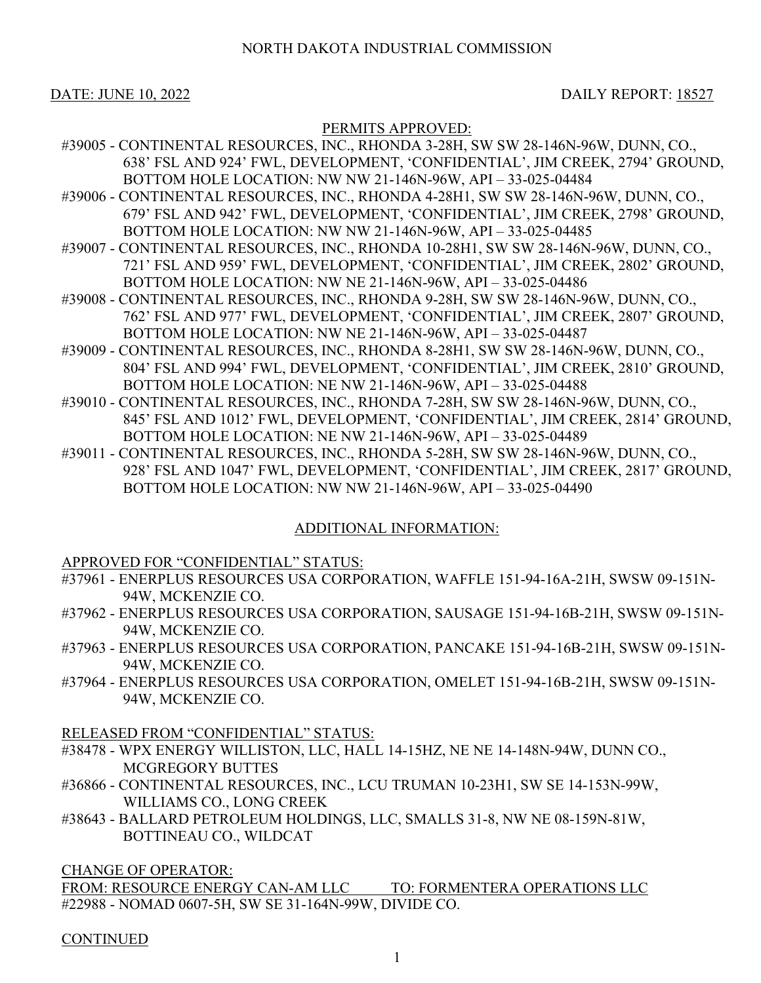DATE: JUNE 10, 2022 DAILY REPORT: 18527

# PERMITS APPROVED:

- #39005 CONTINENTAL RESOURCES, INC., RHONDA 3-28H, SW SW 28-146N-96W, DUNN, CO., 638' FSL AND 924' FWL, DEVELOPMENT, 'CONFIDENTIAL', JIM CREEK, 2794' GROUND, BOTTOM HOLE LOCATION: NW NW 21-146N-96W, API – 33-025-04484
- #39006 CONTINENTAL RESOURCES, INC., RHONDA 4-28H1, SW SW 28-146N-96W, DUNN, CO., 679' FSL AND 942' FWL, DEVELOPMENT, 'CONFIDENTIAL', JIM CREEK, 2798' GROUND, BOTTOM HOLE LOCATION: NW NW 21-146N-96W, API – 33-025-04485
- #39007 CONTINENTAL RESOURCES, INC., RHONDA 10-28H1, SW SW 28-146N-96W, DUNN, CO., 721' FSL AND 959' FWL, DEVELOPMENT, 'CONFIDENTIAL', JIM CREEK, 2802' GROUND, BOTTOM HOLE LOCATION: NW NE 21-146N-96W, API – 33-025-04486
- #39008 CONTINENTAL RESOURCES, INC., RHONDA 9-28H, SW SW 28-146N-96W, DUNN, CO., 762' FSL AND 977' FWL, DEVELOPMENT, 'CONFIDENTIAL', JIM CREEK, 2807' GROUND, BOTTOM HOLE LOCATION: NW NE 21-146N-96W, API – 33-025-04487
- #39009 CONTINENTAL RESOURCES, INC., RHONDA 8-28H1, SW SW 28-146N-96W, DUNN, CO., 804' FSL AND 994' FWL, DEVELOPMENT, 'CONFIDENTIAL', JIM CREEK, 2810' GROUND, BOTTOM HOLE LOCATION: NE NW 21-146N-96W, API – 33-025-04488
- #39010 CONTINENTAL RESOURCES, INC., RHONDA 7-28H, SW SW 28-146N-96W, DUNN, CO., 845' FSL AND 1012' FWL, DEVELOPMENT, 'CONFIDENTIAL', JIM CREEK, 2814' GROUND, BOTTOM HOLE LOCATION: NE NW 21-146N-96W, API – 33-025-04489
- #39011 CONTINENTAL RESOURCES, INC., RHONDA 5-28H, SW SW 28-146N-96W, DUNN, CO., 928' FSL AND 1047' FWL, DEVELOPMENT, 'CONFIDENTIAL', JIM CREEK, 2817' GROUND, BOTTOM HOLE LOCATION: NW NW 21-146N-96W, API – 33-025-04490

# ADDITIONAL INFORMATION:

# APPROVED FOR "CONFIDENTIAL" STATUS:

- #37961 ENERPLUS RESOURCES USA CORPORATION, WAFFLE 151-94-16A-21H, SWSW 09-151N-94W, MCKENZIE CO.
- #37962 ENERPLUS RESOURCES USA CORPORATION, SAUSAGE 151-94-16B-21H, SWSW 09-151N-94W, MCKENZIE CO.
- #37963 ENERPLUS RESOURCES USA CORPORATION, PANCAKE 151-94-16B-21H, SWSW 09-151N-94W, MCKENZIE CO.
- #37964 ENERPLUS RESOURCES USA CORPORATION, OMELET 151-94-16B-21H, SWSW 09-151N-94W, MCKENZIE CO.

RELEASED FROM "CONFIDENTIAL" STATUS:

- #38478 WPX ENERGY WILLISTON, LLC, HALL 14-15HZ, NE NE 14-148N-94W, DUNN CO., MCGREGORY BUTTES
- #36866 CONTINENTAL RESOURCES, INC., LCU TRUMAN 10-23H1, SW SE 14-153N-99W, WILLIAMS CO., LONG CREEK
- #38643 BALLARD PETROLEUM HOLDINGS, LLC, SMALLS 31-8, NW NE 08-159N-81W, BOTTINEAU CO., WILDCAT

CHANGE OF OPERATOR:

FROM: RESOURCE ENERGY CAN-AM LLC TO: FORMENTERA OPERATIONS LLC #22988 - NOMAD 0607-5H, SW SE 31-164N-99W, DIVIDE CO.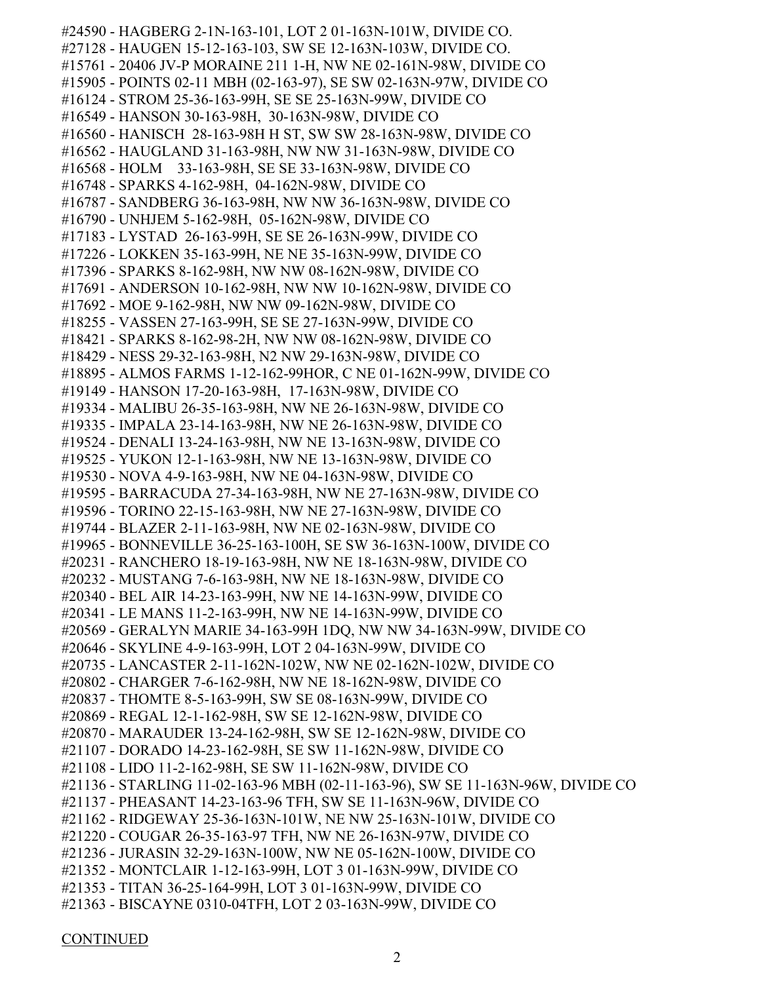#24590 - HAGBERG 2-1N-163-101, LOT 2 01-163N-101W, DIVIDE CO. #27128 - HAUGEN 15-12-163-103, SW SE 12-163N-103W, DIVIDE CO. #15761 - 20406 JV-P MORAINE 211 1-H, NW NE 02-161N-98W, DIVIDE CO #15905 - POINTS 02-11 MBH (02-163-97), SE SW 02-163N-97W, DIVIDE CO #16124 - STROM 25-36-163-99H, SE SE 25-163N-99W, DIVIDE CO #16549 - HANSON 30-163-98H, 30-163N-98W, DIVIDE CO #16560 - HANISCH 28-163-98H H ST, SW SW 28-163N-98W, DIVIDE CO #16562 - HAUGLAND 31-163-98H, NW NW 31-163N-98W, DIVIDE CO #16568 - HOLM 33-163-98H, SE SE 33-163N-98W, DIVIDE CO #16748 - SPARKS 4-162-98H, 04-162N-98W, DIVIDE CO #16787 - SANDBERG 36-163-98H, NW NW 36-163N-98W, DIVIDE CO #16790 - UNHJEM 5-162-98H, 05-162N-98W, DIVIDE CO #17183 - LYSTAD 26-163-99H, SE SE 26-163N-99W, DIVIDE CO #17226 - LOKKEN 35-163-99H, NE NE 35-163N-99W, DIVIDE CO #17396 - SPARKS 8-162-98H, NW NW 08-162N-98W, DIVIDE CO #17691 - ANDERSON 10-162-98H, NW NW 10-162N-98W, DIVIDE CO #17692 - MOE 9-162-98H, NW NW 09-162N-98W, DIVIDE CO #18255 - VASSEN 27-163-99H, SE SE 27-163N-99W, DIVIDE CO #18421 - SPARKS 8-162-98-2H, NW NW 08-162N-98W, DIVIDE CO #18429 - NESS 29-32-163-98H, N2 NW 29-163N-98W, DIVIDE CO #18895 - ALMOS FARMS 1-12-162-99HOR, C NE 01-162N-99W, DIVIDE CO #19149 - HANSON 17-20-163-98H, 17-163N-98W, DIVIDE CO #19334 - MALIBU 26-35-163-98H, NW NE 26-163N-98W, DIVIDE CO #19335 - IMPALA 23-14-163-98H, NW NE 26-163N-98W, DIVIDE CO #19524 - DENALI 13-24-163-98H, NW NE 13-163N-98W, DIVIDE CO #19525 - YUKON 12-1-163-98H, NW NE 13-163N-98W, DIVIDE CO #19530 - NOVA 4-9-163-98H, NW NE 04-163N-98W, DIVIDE CO #19595 - BARRACUDA 27-34-163-98H, NW NE 27-163N-98W, DIVIDE CO #19596 - TORINO 22-15-163-98H, NW NE 27-163N-98W, DIVIDE CO #19744 - BLAZER 2-11-163-98H, NW NE 02-163N-98W, DIVIDE CO #19965 - BONNEVILLE 36-25-163-100H, SE SW 36-163N-100W, DIVIDE CO #20231 - RANCHERO 18-19-163-98H, NW NE 18-163N-98W, DIVIDE CO #20232 - MUSTANG 7-6-163-98H, NW NE 18-163N-98W, DIVIDE CO #20340 - BEL AIR 14-23-163-99H, NW NE 14-163N-99W, DIVIDE CO #20341 - LE MANS 11-2-163-99H, NW NE 14-163N-99W, DIVIDE CO #20569 - GERALYN MARIE 34-163-99H 1DQ, NW NW 34-163N-99W, DIVIDE CO #20646 - SKYLINE 4-9-163-99H, LOT 2 04-163N-99W, DIVIDE CO #20735 - LANCASTER 2-11-162N-102W, NW NE 02-162N-102W, DIVIDE CO #20802 - CHARGER 7-6-162-98H, NW NE 18-162N-98W, DIVIDE CO #20837 - THOMTE 8-5-163-99H, SW SE 08-163N-99W, DIVIDE CO #20869 - REGAL 12-1-162-98H, SW SE 12-162N-98W, DIVIDE CO #20870 - MARAUDER 13-24-162-98H, SW SE 12-162N-98W, DIVIDE CO #21107 - DORADO 14-23-162-98H, SE SW 11-162N-98W, DIVIDE CO #21108 - LIDO 11-2-162-98H, SE SW 11-162N-98W, DIVIDE CO #21136 - STARLING 11-02-163-96 MBH (02-11-163-96), SW SE 11-163N-96W, DIVIDE CO #21137 - PHEASANT 14-23-163-96 TFH, SW SE 11-163N-96W, DIVIDE CO #21162 - RIDGEWAY 25-36-163N-101W, NE NW 25-163N-101W, DIVIDE CO #21220 - COUGAR 26-35-163-97 TFH, NW NE 26-163N-97W, DIVIDE CO #21236 - JURASIN 32-29-163N-100W, NW NE 05-162N-100W, DIVIDE CO #21352 - MONTCLAIR 1-12-163-99H, LOT 3 01-163N-99W, DIVIDE CO #21353 - TITAN 36-25-164-99H, LOT 3 01-163N-99W, DIVIDE CO #21363 - BISCAYNE 0310-04TFH, LOT 2 03-163N-99W, DIVIDE CO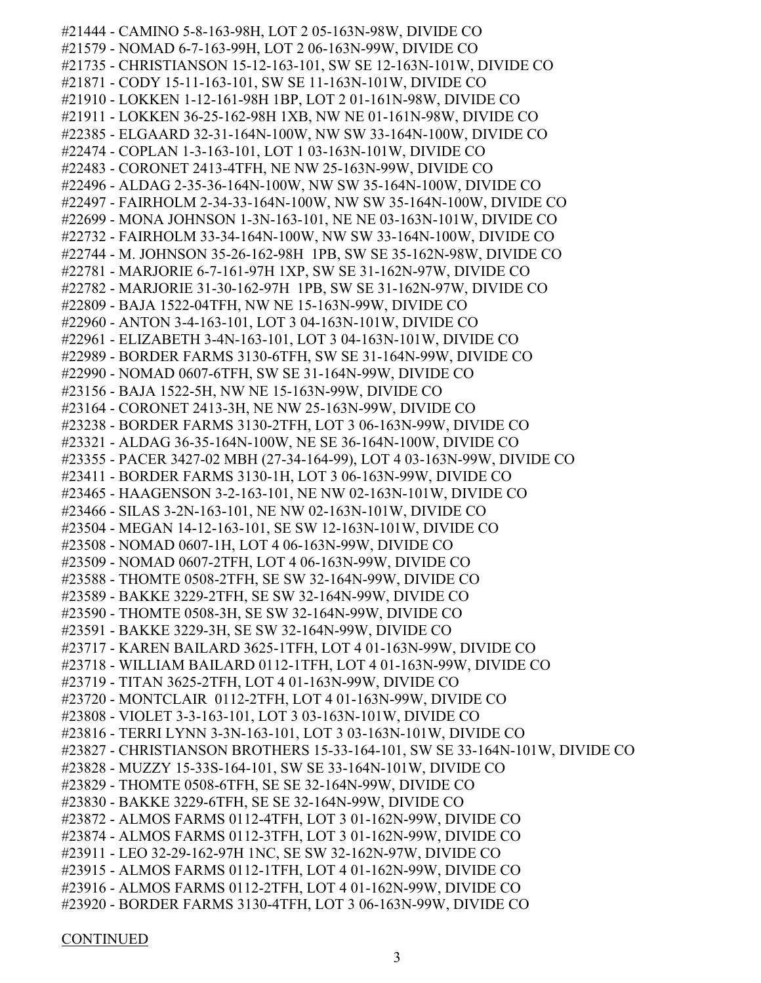#21444 - CAMINO 5-8-163-98H, LOT 2 05-163N-98W, DIVIDE CO #21579 - NOMAD 6-7-163-99H, LOT 2 06-163N-99W, DIVIDE CO #21735 - CHRISTIANSON 15-12-163-101, SW SE 12-163N-101W, DIVIDE CO #21871 - CODY 15-11-163-101, SW SE 11-163N-101W, DIVIDE CO #21910 - LOKKEN 1-12-161-98H 1BP, LOT 2 01-161N-98W, DIVIDE CO #21911 - LOKKEN 36-25-162-98H 1XB, NW NE 01-161N-98W, DIVIDE CO #22385 - ELGAARD 32-31-164N-100W, NW SW 33-164N-100W, DIVIDE CO #22474 - COPLAN 1-3-163-101, LOT 1 03-163N-101W, DIVIDE CO #22483 - CORONET 2413-4TFH, NE NW 25-163N-99W, DIVIDE CO #22496 - ALDAG 2-35-36-164N-100W, NW SW 35-164N-100W, DIVIDE CO #22497 - FAIRHOLM 2-34-33-164N-100W, NW SW 35-164N-100W, DIVIDE CO #22699 - MONA JOHNSON 1-3N-163-101, NE NE 03-163N-101W, DIVIDE CO #22732 - FAIRHOLM 33-34-164N-100W, NW SW 33-164N-100W, DIVIDE CO #22744 - M. JOHNSON 35-26-162-98H 1PB, SW SE 35-162N-98W, DIVIDE CO #22781 - MARJORIE 6-7-161-97H 1XP, SW SE 31-162N-97W, DIVIDE CO #22782 - MARJORIE 31-30-162-97H 1PB, SW SE 31-162N-97W, DIVIDE CO #22809 - BAJA 1522-04TFH, NW NE 15-163N-99W, DIVIDE CO #22960 - ANTON 3-4-163-101, LOT 3 04-163N-101W, DIVIDE CO #22961 - ELIZABETH 3-4N-163-101, LOT 3 04-163N-101W, DIVIDE CO #22989 - BORDER FARMS 3130-6TFH, SW SE 31-164N-99W, DIVIDE CO #22990 - NOMAD 0607-6TFH, SW SE 31-164N-99W, DIVIDE CO #23156 - BAJA 1522-5H, NW NE 15-163N-99W, DIVIDE CO #23164 - CORONET 2413-3H, NE NW 25-163N-99W, DIVIDE CO #23238 - BORDER FARMS 3130-2TFH, LOT 3 06-163N-99W, DIVIDE CO #23321 - ALDAG 36-35-164N-100W, NE SE 36-164N-100W, DIVIDE CO #23355 - PACER 3427-02 MBH (27-34-164-99), LOT 4 03-163N-99W, DIVIDE CO #23411 - BORDER FARMS 3130-1H, LOT 3 06-163N-99W, DIVIDE CO #23465 - HAAGENSON 3-2-163-101, NE NW 02-163N-101W, DIVIDE CO #23466 - SILAS 3-2N-163-101, NE NW 02-163N-101W, DIVIDE CO #23504 - MEGAN 14-12-163-101, SE SW 12-163N-101W, DIVIDE CO #23508 - NOMAD 0607-1H, LOT 4 06-163N-99W, DIVIDE CO #23509 - NOMAD 0607-2TFH, LOT 4 06-163N-99W, DIVIDE CO #23588 - THOMTE 0508-2TFH, SE SW 32-164N-99W, DIVIDE CO #23589 - BAKKE 3229-2TFH, SE SW 32-164N-99W, DIVIDE CO #23590 - THOMTE 0508-3H, SE SW 32-164N-99W, DIVIDE CO #23591 - BAKKE 3229-3H, SE SW 32-164N-99W, DIVIDE CO #23717 - KAREN BAILARD 3625-1TFH, LOT 4 01-163N-99W, DIVIDE CO #23718 - WILLIAM BAILARD 0112-1TFH, LOT 4 01-163N-99W, DIVIDE CO #23719 - TITAN 3625-2TFH, LOT 4 01-163N-99W, DIVIDE CO #23720 - MONTCLAIR 0112-2TFH, LOT 4 01-163N-99W, DIVIDE CO #23808 - VIOLET 3-3-163-101, LOT 3 03-163N-101W, DIVIDE CO #23816 - TERRI LYNN 3-3N-163-101, LOT 3 03-163N-101W, DIVIDE CO #23827 - CHRISTIANSON BROTHERS 15-33-164-101, SW SE 33-164N-101W, DIVIDE CO #23828 - MUZZY 15-33S-164-101, SW SE 33-164N-101W, DIVIDE CO #23829 - THOMTE 0508-6TFH, SE SE 32-164N-99W, DIVIDE CO #23830 - BAKKE 3229-6TFH, SE SE 32-164N-99W, DIVIDE CO #23872 - ALMOS FARMS 0112-4TFH, LOT 3 01-162N-99W, DIVIDE CO #23874 - ALMOS FARMS 0112-3TFH, LOT 3 01-162N-99W, DIVIDE CO #23911 - LEO 32-29-162-97H 1NC, SE SW 32-162N-97W, DIVIDE CO #23915 - ALMOS FARMS 0112-1TFH, LOT 4 01-162N-99W, DIVIDE CO #23916 - ALMOS FARMS 0112-2TFH, LOT 4 01-162N-99W, DIVIDE CO #23920 - BORDER FARMS 3130-4TFH, LOT 3 06-163N-99W, DIVIDE CO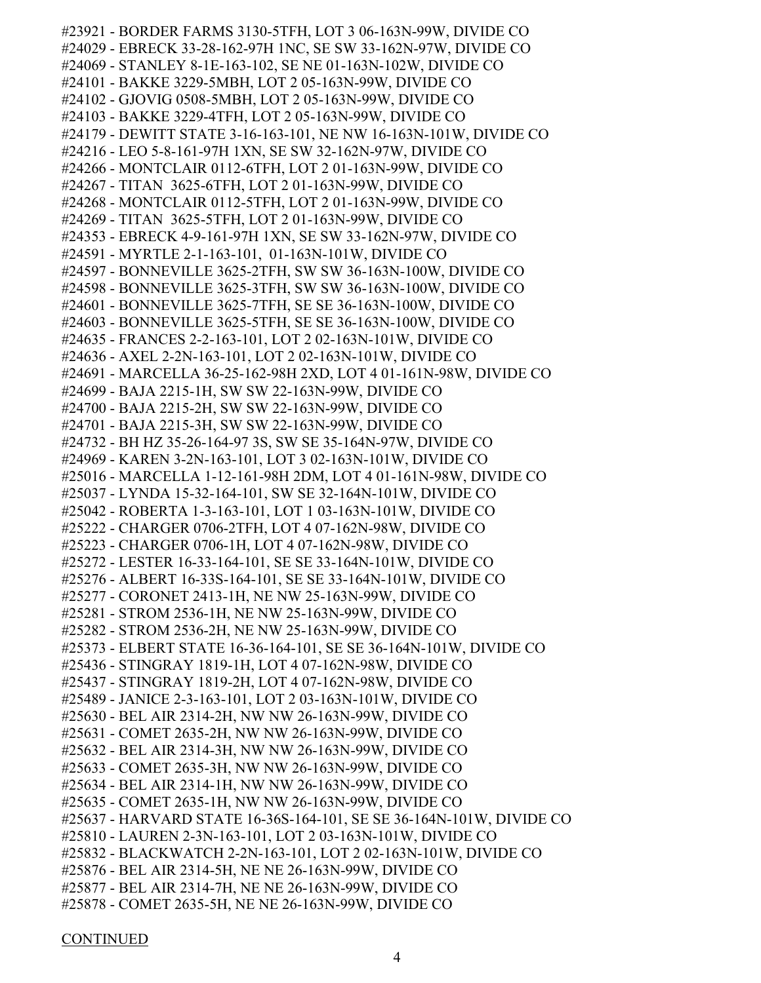#23921 - BORDER FARMS 3130-5TFH, LOT 3 06-163N-99W, DIVIDE CO #24029 - EBRECK 33-28-162-97H 1NC, SE SW 33-162N-97W, DIVIDE CO #24069 - STANLEY 8-1E-163-102, SE NE 01-163N-102W, DIVIDE CO #24101 - BAKKE 3229-5MBH, LOT 2 05-163N-99W, DIVIDE CO #24102 - GJOVIG 0508-5MBH, LOT 2 05-163N-99W, DIVIDE CO #24103 - BAKKE 3229-4TFH, LOT 2 05-163N-99W, DIVIDE CO #24179 - DEWITT STATE 3-16-163-101, NE NW 16-163N-101W, DIVIDE CO #24216 - LEO 5-8-161-97H 1XN, SE SW 32-162N-97W, DIVIDE CO #24266 - MONTCLAIR 0112-6TFH, LOT 2 01-163N-99W, DIVIDE CO #24267 - TITAN 3625-6TFH, LOT 2 01-163N-99W, DIVIDE CO #24268 - MONTCLAIR 0112-5TFH, LOT 2 01-163N-99W, DIVIDE CO #24269 - TITAN 3625-5TFH, LOT 2 01-163N-99W, DIVIDE CO #24353 - EBRECK 4-9-161-97H 1XN, SE SW 33-162N-97W, DIVIDE CO #24591 - MYRTLE 2-1-163-101, 01-163N-101W, DIVIDE CO #24597 - BONNEVILLE 3625-2TFH, SW SW 36-163N-100W, DIVIDE CO #24598 - BONNEVILLE 3625-3TFH, SW SW 36-163N-100W, DIVIDE CO #24601 - BONNEVILLE 3625-7TFH, SE SE 36-163N-100W, DIVIDE CO #24603 - BONNEVILLE 3625-5TFH, SE SE 36-163N-100W, DIVIDE CO #24635 - FRANCES 2-2-163-101, LOT 2 02-163N-101W, DIVIDE CO #24636 - AXEL 2-2N-163-101, LOT 2 02-163N-101W, DIVIDE CO #24691 - MARCELLA 36-25-162-98H 2XD, LOT 4 01-161N-98W, DIVIDE CO #24699 - BAJA 2215-1H, SW SW 22-163N-99W, DIVIDE CO #24700 - BAJA 2215-2H, SW SW 22-163N-99W, DIVIDE CO #24701 - BAJA 2215-3H, SW SW 22-163N-99W, DIVIDE CO #24732 - BH HZ 35-26-164-97 3S, SW SE 35-164N-97W, DIVIDE CO #24969 - KAREN 3-2N-163-101, LOT 3 02-163N-101W, DIVIDE CO #25016 - MARCELLA 1-12-161-98H 2DM, LOT 4 01-161N-98W, DIVIDE CO #25037 - LYNDA 15-32-164-101, SW SE 32-164N-101W, DIVIDE CO #25042 - ROBERTA 1-3-163-101, LOT 1 03-163N-101W, DIVIDE CO #25222 - CHARGER 0706-2TFH, LOT 4 07-162N-98W, DIVIDE CO #25223 - CHARGER 0706-1H, LOT 4 07-162N-98W, DIVIDE CO #25272 - LESTER 16-33-164-101, SE SE 33-164N-101W, DIVIDE CO #25276 - ALBERT 16-33S-164-101, SE SE 33-164N-101W, DIVIDE CO #25277 - CORONET 2413-1H, NE NW 25-163N-99W, DIVIDE CO #25281 - STROM 2536-1H, NE NW 25-163N-99W, DIVIDE CO #25282 - STROM 2536-2H, NE NW 25-163N-99W, DIVIDE CO #25373 - ELBERT STATE 16-36-164-101, SE SE 36-164N-101W, DIVIDE CO #25436 - STINGRAY 1819-1H, LOT 4 07-162N-98W, DIVIDE CO #25437 - STINGRAY 1819-2H, LOT 4 07-162N-98W, DIVIDE CO #25489 - JANICE 2-3-163-101, LOT 2 03-163N-101W, DIVIDE CO #25630 - BEL AIR 2314-2H, NW NW 26-163N-99W, DIVIDE CO #25631 - COMET 2635-2H, NW NW 26-163N-99W, DIVIDE CO #25632 - BEL AIR 2314-3H, NW NW 26-163N-99W, DIVIDE CO #25633 - COMET 2635-3H, NW NW 26-163N-99W, DIVIDE CO #25634 - BEL AIR 2314-1H, NW NW 26-163N-99W, DIVIDE CO #25635 - COMET 2635-1H, NW NW 26-163N-99W, DIVIDE CO #25637 - HARVARD STATE 16-36S-164-101, SE SE 36-164N-101W, DIVIDE CO #25810 - LAUREN 2-3N-163-101, LOT 2 03-163N-101W, DIVIDE CO #25832 - BLACKWATCH 2-2N-163-101, LOT 2 02-163N-101W, DIVIDE CO #25876 - BEL AIR 2314-5H, NE NE 26-163N-99W, DIVIDE CO #25877 - BEL AIR 2314-7H, NE NE 26-163N-99W, DIVIDE CO #25878 - COMET 2635-5H, NE NE 26-163N-99W, DIVIDE CO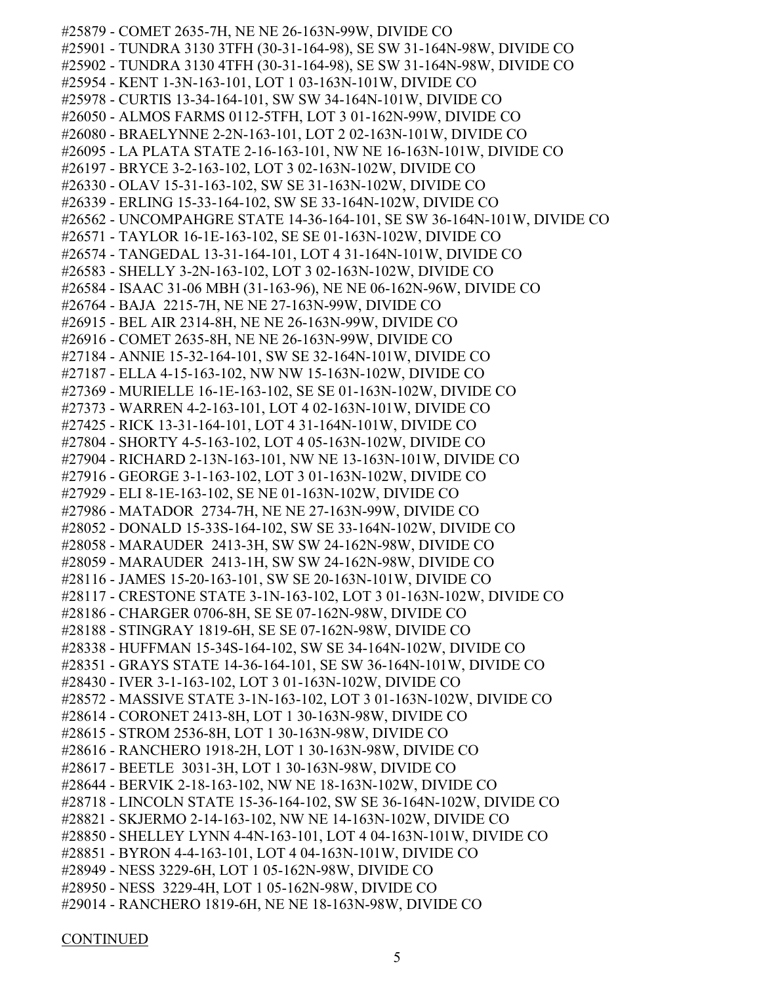#25879 - COMET 2635-7H, NE NE 26-163N-99W, DIVIDE CO #25901 - TUNDRA 3130 3TFH (30-31-164-98), SE SW 31-164N-98W, DIVIDE CO #25902 - TUNDRA 3130 4TFH (30-31-164-98), SE SW 31-164N-98W, DIVIDE CO #25954 - KENT 1-3N-163-101, LOT 1 03-163N-101W, DIVIDE CO #25978 - CURTIS 13-34-164-101, SW SW 34-164N-101W, DIVIDE CO #26050 - ALMOS FARMS 0112-5TFH, LOT 3 01-162N-99W, DIVIDE CO #26080 - BRAELYNNE 2-2N-163-101, LOT 2 02-163N-101W, DIVIDE CO #26095 - LA PLATA STATE 2-16-163-101, NW NE 16-163N-101W, DIVIDE CO #26197 - BRYCE 3-2-163-102, LOT 3 02-163N-102W, DIVIDE CO #26330 - OLAV 15-31-163-102, SW SE 31-163N-102W, DIVIDE CO #26339 - ERLING 15-33-164-102, SW SE 33-164N-102W, DIVIDE CO #26562 - UNCOMPAHGRE STATE 14-36-164-101, SE SW 36-164N-101W, DIVIDE CO #26571 - TAYLOR 16-1E-163-102, SE SE 01-163N-102W, DIVIDE CO #26574 - TANGEDAL 13-31-164-101, LOT 4 31-164N-101W, DIVIDE CO #26583 - SHELLY 3-2N-163-102, LOT 3 02-163N-102W, DIVIDE CO #26584 - ISAAC 31-06 MBH (31-163-96), NE NE 06-162N-96W, DIVIDE CO #26764 - BAJA 2215-7H, NE NE 27-163N-99W, DIVIDE CO #26915 - BEL AIR 2314-8H, NE NE 26-163N-99W, DIVIDE CO #26916 - COMET 2635-8H, NE NE 26-163N-99W, DIVIDE CO #27184 - ANNIE 15-32-164-101, SW SE 32-164N-101W, DIVIDE CO #27187 - ELLA 4-15-163-102, NW NW 15-163N-102W, DIVIDE CO #27369 - MURIELLE 16-1E-163-102, SE SE 01-163N-102W, DIVIDE CO #27373 - WARREN 4-2-163-101, LOT 4 02-163N-101W, DIVIDE CO #27425 - RICK 13-31-164-101, LOT 4 31-164N-101W, DIVIDE CO #27804 - SHORTY 4-5-163-102, LOT 4 05-163N-102W, DIVIDE CO #27904 - RICHARD 2-13N-163-101, NW NE 13-163N-101W, DIVIDE CO #27916 - GEORGE 3-1-163-102, LOT 3 01-163N-102W, DIVIDE CO #27929 - ELI 8-1E-163-102, SE NE 01-163N-102W, DIVIDE CO #27986 - MATADOR 2734-7H, NE NE 27-163N-99W, DIVIDE CO #28052 - DONALD 15-33S-164-102, SW SE 33-164N-102W, DIVIDE CO #28058 - MARAUDER 2413-3H, SW SW 24-162N-98W, DIVIDE CO #28059 - MARAUDER 2413-1H, SW SW 24-162N-98W, DIVIDE CO #28116 - JAMES 15-20-163-101, SW SE 20-163N-101W, DIVIDE CO #28117 - CRESTONE STATE 3-1N-163-102, LOT 3 01-163N-102W, DIVIDE CO #28186 - CHARGER 0706-8H, SE SE 07-162N-98W, DIVIDE CO #28188 - STINGRAY 1819-6H, SE SE 07-162N-98W, DIVIDE CO #28338 - HUFFMAN 15-34S-164-102, SW SE 34-164N-102W, DIVIDE CO #28351 - GRAYS STATE 14-36-164-101, SE SW 36-164N-101W, DIVIDE CO #28430 - IVER 3-1-163-102, LOT 3 01-163N-102W, DIVIDE CO #28572 - MASSIVE STATE 3-1N-163-102, LOT 3 01-163N-102W, DIVIDE CO #28614 - CORONET 2413-8H, LOT 1 30-163N-98W, DIVIDE CO #28615 - STROM 2536-8H, LOT 1 30-163N-98W, DIVIDE CO #28616 - RANCHERO 1918-2H, LOT 1 30-163N-98W, DIVIDE CO #28617 - BEETLE 3031-3H, LOT 1 30-163N-98W, DIVIDE CO #28644 - BERVIK 2-18-163-102, NW NE 18-163N-102W, DIVIDE CO #28718 - LINCOLN STATE 15-36-164-102, SW SE 36-164N-102W, DIVIDE CO #28821 - SKJERMO 2-14-163-102, NW NE 14-163N-102W, DIVIDE CO #28850 - SHELLEY LYNN 4-4N-163-101, LOT 4 04-163N-101W, DIVIDE CO #28851 - BYRON 4-4-163-101, LOT 4 04-163N-101W, DIVIDE CO #28949 - NESS 3229-6H, LOT 1 05-162N-98W, DIVIDE CO #28950 - NESS 3229-4H, LOT 1 05-162N-98W, DIVIDE CO #29014 - RANCHERO 1819-6H, NE NE 18-163N-98W, DIVIDE CO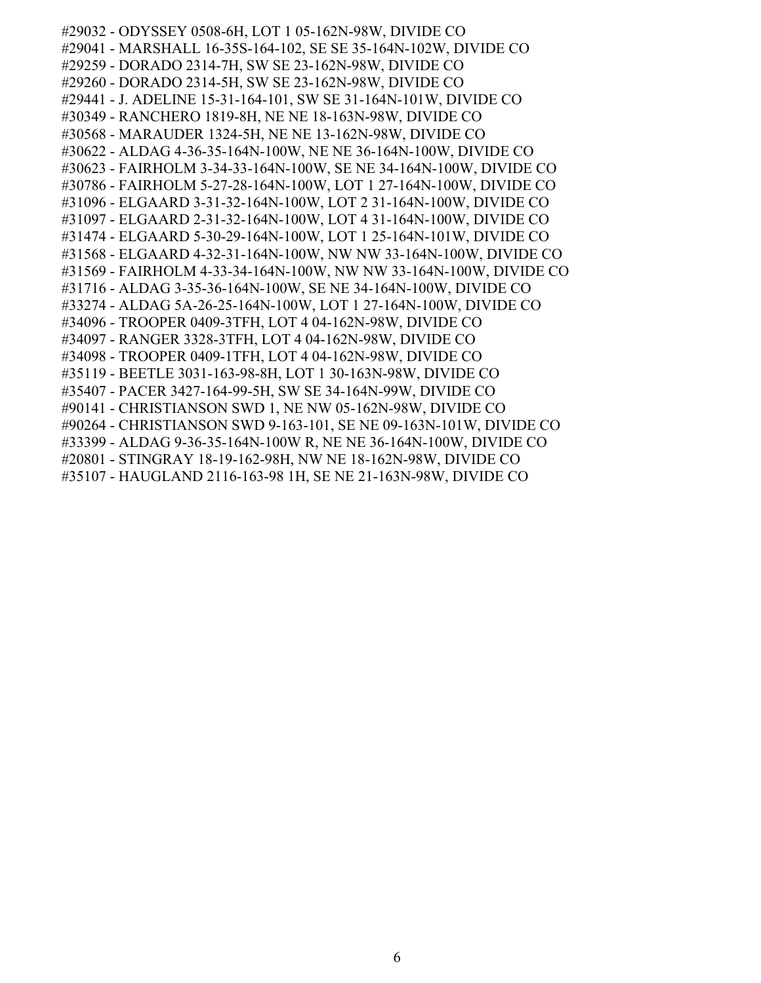#29032 - ODYSSEY 0508-6H, LOT 1 05-162N-98W, DIVIDE CO #29041 - MARSHALL 16-35S-164-102, SE SE 35-164N-102W, DIVIDE CO #29259 - DORADO 2314-7H, SW SE 23-162N-98W, DIVIDE CO #29260 - DORADO 2314-5H, SW SE 23-162N-98W, DIVIDE CO #29441 - J. ADELINE 15-31-164-101, SW SE 31-164N-101W, DIVIDE CO #30349 - RANCHERO 1819-8H, NE NE 18-163N-98W, DIVIDE CO #30568 - MARAUDER 1324-5H, NE NE 13-162N-98W, DIVIDE CO #30622 - ALDAG 4-36-35-164N-100W, NE NE 36-164N-100W, DIVIDE CO #30623 - FAIRHOLM 3-34-33-164N-100W, SE NE 34-164N-100W, DIVIDE CO #30786 - FAIRHOLM 5-27-28-164N-100W, LOT 1 27-164N-100W, DIVIDE CO #31096 - ELGAARD 3-31-32-164N-100W, LOT 2 31-164N-100W, DIVIDE CO #31097 - ELGAARD 2-31-32-164N-100W, LOT 4 31-164N-100W, DIVIDE CO #31474 - ELGAARD 5-30-29-164N-100W, LOT 1 25-164N-101W, DIVIDE CO #31568 - ELGAARD 4-32-31-164N-100W, NW NW 33-164N-100W, DIVIDE CO #31569 - FAIRHOLM 4-33-34-164N-100W, NW NW 33-164N-100W, DIVIDE CO #31716 - ALDAG 3-35-36-164N-100W, SE NE 34-164N-100W, DIVIDE CO #33274 - ALDAG 5A-26-25-164N-100W, LOT 1 27-164N-100W, DIVIDE CO #34096 - TROOPER 0409-3TFH, LOT 4 04-162N-98W, DIVIDE CO #34097 - RANGER 3328-3TFH, LOT 4 04-162N-98W, DIVIDE CO #34098 - TROOPER 0409-1TFH, LOT 4 04-162N-98W, DIVIDE CO #35119 - BEETLE 3031-163-98-8H, LOT 1 30-163N-98W, DIVIDE CO #35407 - PACER 3427-164-99-5H, SW SE 34-164N-99W, DIVIDE CO #90141 - CHRISTIANSON SWD 1, NE NW 05-162N-98W, DIVIDE CO #90264 - CHRISTIANSON SWD 9-163-101, SE NE 09-163N-101W, DIVIDE CO #33399 - ALDAG 9-36-35-164N-100W R, NE NE 36-164N-100W, DIVIDE CO #20801 - STINGRAY 18-19-162-98H, NW NE 18-162N-98W, DIVIDE CO #35107 - HAUGLAND 2116-163-98 1H, SE NE 21-163N-98W, DIVIDE CO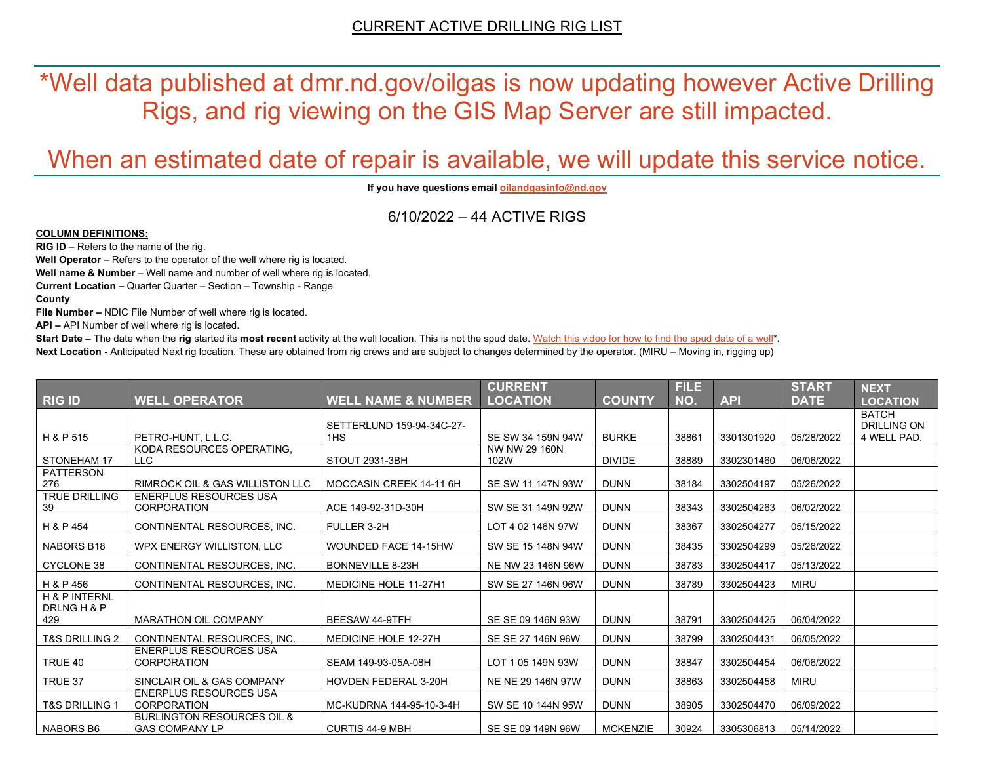\*Well data published at dmr.nd.gov/oilgas is now updating however Active Drilling Rigs, and rig viewing on the GIS Map Server are still impacted.

# When an estimated date of repair is available, we will update this service notice.

**If you have questions emai[l oilandgasinfo@nd.gov](mailto:oilandgasinfo@nd.gov)**

6/10/2022 – 44 ACTIVE RIGS

#### **COLUMN DEFINITIONS:**

**RIG ID** – Refers to the name of the rig.

**Well Operator** – Refers to the operator of the well where rig is located.

**Well name & Number** – Well name and number of well where rig is located.

**Current Location –** Quarter Quarter – Section – Township - Range

**County**

**File Number –** NDIC File Number of well where rig is located.

**API –** API Number of well where rig is located.

**Start Date** – The date when the **rig** started its most recent activity at the well location. This is not the spud date. Watch this video for how [to find the spud date of a well\\*](https://youtu.be/JjWwzuuMVpM). **Next Location -** Anticipated Next rig location. These are obtained from rig crews and are subject to changes determined by the operator. (MIRU – Moving in, rigging up)

|                           |                                                     |                               | <b>CURRENT</b>    |                 | <b>FILE</b> |            | <b>START</b> | <b>NEXT</b>                        |
|---------------------------|-----------------------------------------------------|-------------------------------|-------------------|-----------------|-------------|------------|--------------|------------------------------------|
| <b>RIG ID</b>             | <b>WELL OPERATOR</b>                                | <b>WELL NAME &amp; NUMBER</b> | <b>LOCATION</b>   | <b>COUNTY</b>   | NO.         | <b>API</b> | <b>DATE</b>  | <b>LOCATION</b>                    |
|                           |                                                     | SETTERLUND 159-94-34C-27-     |                   |                 |             |            |              | <b>BATCH</b><br><b>DRILLING ON</b> |
| H & P 515                 | PETRO-HUNT, L.L.C.                                  | 1H <sub>S</sub>               | SE SW 34 159N 94W | <b>BURKE</b>    | 38861       | 3301301920 | 05/28/2022   | 4 WELL PAD.                        |
|                           | KODA RESOURCES OPERATING.                           |                               | NW NW 29 160N     |                 |             |            |              |                                    |
| STONEHAM 17               | <b>LLC</b>                                          | STOUT 2931-3BH                | 102W              | <b>DIVIDE</b>   | 38889       | 3302301460 | 06/06/2022   |                                    |
| <b>PATTERSON</b><br>276   | <b>RIMROCK OIL &amp; GAS WILLISTON LLC</b>          | MOCCASIN CREEK 14-11 6H       | SE SW 11 147N 93W | <b>DUNN</b>     | 38184       | 3302504197 | 05/26/2022   |                                    |
| <b>TRUE DRILLING</b>      | <b>ENERPLUS RESOURCES USA</b>                       |                               |                   |                 |             |            |              |                                    |
| 39                        | <b>CORPORATION</b>                                  | ACE 149-92-31D-30H            | SW SE 31 149N 92W | <b>DUNN</b>     | 38343       | 3302504263 | 06/02/2022   |                                    |
| H & P 454                 | CONTINENTAL RESOURCES, INC.                         | FULLER 3-2H                   | LOT 4 02 146N 97W | <b>DUNN</b>     | 38367       | 3302504277 | 05/15/2022   |                                    |
| NABORS B18                | WPX ENERGY WILLISTON, LLC                           | WOUNDED FACE 14-15HW          | SW SE 15 148N 94W | <b>DUNN</b>     | 38435       | 3302504299 | 05/26/2022   |                                    |
| <b>CYCLONE 38</b>         | CONTINENTAL RESOURCES, INC.                         | BONNEVILLE 8-23H              | NE NW 23 146N 96W | <b>DUNN</b>     | 38783       | 3302504417 | 05/13/2022   |                                    |
| H & P 456                 | CONTINENTAL RESOURCES, INC.                         | <b>MEDICINE HOLE 11-27H1</b>  | SW SE 27 146N 96W | <b>DUNN</b>     | 38789       | 3302504423 | <b>MIRU</b>  |                                    |
| <b>H &amp; P INTERNL</b>  |                                                     |                               |                   |                 |             |            |              |                                    |
| DRLNG H & P<br>429        | <b>MARATHON OIL COMPANY</b>                         | <b>BEESAW 44-9TFH</b>         | SE SE 09 146N 93W | <b>DUNN</b>     | 38791       | 3302504425 | 06/04/2022   |                                    |
| <b>T&amp;S DRILLING 2</b> | CONTINENTAL RESOURCES. INC.                         | <b>MEDICINE HOLE 12-27H</b>   | SE SE 27 146N 96W | <b>DUNN</b>     | 38799       | 3302504431 | 06/05/2022   |                                    |
| TRUE 40                   | <b>ENERPLUS RESOURCES USA</b><br><b>CORPORATION</b> | SEAM 149-93-05A-08H           | LOT 1 05 149N 93W | <b>DUNN</b>     | 38847       | 3302504454 | 06/06/2022   |                                    |
|                           |                                                     |                               |                   |                 |             |            |              |                                    |
| TRUE 37                   | SINCLAIR OIL & GAS COMPANY                          | HOVDEN FEDERAL 3-20H          | NE NE 29 146N 97W | <b>DUNN</b>     | 38863       | 3302504458 | <b>MIRU</b>  |                                    |
| <b>T&amp;S DRILLING 1</b> | <b>ENERPLUS RESOURCES USA</b><br><b>CORPORATION</b> | MC-KUDRNA 144-95-10-3-4H      | SW SE 10 144N 95W | <b>DUNN</b>     | 38905       | 3302504470 | 06/09/2022   |                                    |
|                           | <b>BURLINGTON RESOURCES OIL &amp;</b>               |                               |                   |                 |             |            |              |                                    |
| <b>NABORS B6</b>          | <b>GAS COMPANY LP</b>                               | <b>CURTIS 44-9 MBH</b>        | SE SE 09 149N 96W | <b>MCKENZIE</b> | 30924       | 3305306813 | 05/14/2022   |                                    |